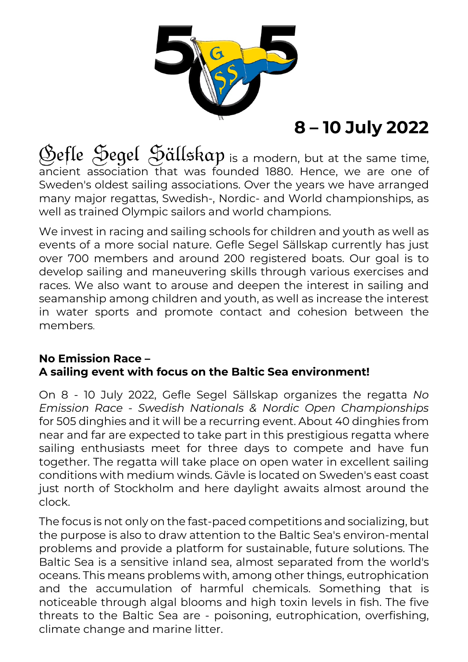

## **8 – 10 July 2022**

Befle Segel Sällskap is a modern, but at the same time, ancient association that was founded 1880. Hence, we are one of Sweden's oldest sailing associations. Over the years we have arranged many major regattas, Swedish-, Nordic- and World championships, as well as trained Olympic sailors and world champions.

We invest in racing and sailing schools for children and youth as well as events of a more social nature. Gefle Segel Sällskap currently has just over 700 members and around 200 registered boats. Our goal is to develop sailing and maneuvering skills through various exercises and races. We also want to arouse and deepen the interest in sailing and seamanship among children and youth, as well as increase the interest in water sports and promote contact and cohesion between the members.

## **No Emission Race – A sailing event with focus on the Baltic Sea environment!**

On 8 - 10 July 2022, Gefle Segel Sällskap organizes the regatta *No Emission Race - Swedish Nationals & Nordic Open Championships* for 505 dinghies and it will be a recurring event. About 40 dinghies from near and far are expected to take part in this prestigious regatta where sailing enthusiasts meet for three days to compete and have fun together. The regatta will take place on open water in excellent sailing conditions with medium winds. Gävle is located on Sweden's east coast just north of Stockholm and here daylight awaits almost around the clock.

The focus is not only on the fast-paced competitions and socializing, but the purpose is also to draw attention to the Baltic Sea's environ-mental problems and provide a platform for sustainable, future solutions. The Baltic Sea is a sensitive inland sea, almost separated from the world's oceans. This means problems with, among other things, eutrophication and the accumulation of harmful chemicals. Something that is noticeable through algal blooms and high toxin levels in fish. The five threats to the Baltic Sea are - poisoning, eutrophication, overfishing, climate change and marine litter.